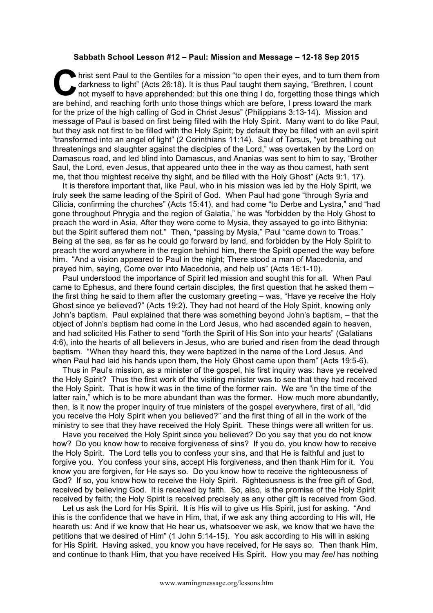## **Sabbath School Lesson #12 – Paul: Mission and Message – 12-18 Sep 2015**

hrist sent Paul to the Gentiles for a mission "to open their eyes, and to turn them from darkness to light" (Acts 26:18). It is thus Paul taught them saying, "Brethren, I count not myself to have apprehended: but this one darkness to light" (Acts 26:18). It is thus Paul taught them saying, "Brethren, I count not myself to have apprehended: but this one thing I do, forgetting those things which are behind, and reaching forth unto those things which are before, I press toward the mark for the prize of the high calling of God in Christ Jesus" (Philippians 3:13-14). Mission and message of Paul is based on first being filled with the Holy Spirit. Many want to do like Paul, but they ask not first to be filled with the Holy Spirit; by default they be filled with an evil spirit "transformed into an angel of light" (2 Corinthians 11:14). Saul of Tarsus, "yet breathing out threatenings and slaughter against the disciples of the Lord," was overtaken by the Lord on Damascus road, and led blind into Damascus, and Ananias was sent to him to say, "Brother Saul, the Lord, even Jesus, that appeared unto thee in the way as thou camest, hath sent me, that thou mightest receive thy sight, and be filled with the Holy Ghost" (Acts 9:1, 17).

It is therefore important that, like Paul, who in his mission was led by the Holy Spirit, we truly seek the same leading of the Spirit of God. When Paul had gone "through Syria and Cilicia, confirming the churches" (Acts 15:41), and had come "to Derbe and Lystra," and "had gone throughout Phrygia and the region of Galatia," he was "forbidden by the Holy Ghost to preach the word in Asia, After they were come to Mysia, they assayed to go into Bithynia: but the Spirit suffered them not." Then, "passing by Mysia," Paul "came down to Troas." Being at the sea, as far as he could go forward by land, and forbidden by the Holy Spirit to preach the word anywhere in the region behind him, there the Spirit opened the way before him. "And a vision appeared to Paul in the night; There stood a man of Macedonia, and prayed him, saying, Come over into Macedonia, and help us" (Acts 16:1-10).

Paul understood the importance of Spirit led mission and sought this for all. When Paul came to Ephesus, and there found certain disciples, the first question that he asked them – the first thing he said to them after the customary greeting – was, "Have ye receive the Holy Ghost since ye believed?" (Acts 19:2). They had not heard of the Holy Spirit, knowing only John's baptism. Paul explained that there was something beyond John's baptism, – that the object of John's baptism had come in the Lord Jesus, who had ascended again to heaven, and had solicited His Father to send "forth the Spirit of His Son into your hearts" (Galatians 4:6), into the hearts of all believers in Jesus, who are buried and risen from the dead through baptism. "When they heard this, they were baptized in the name of the Lord Jesus. And when Paul had laid his hands upon them, the Holy Ghost came upon them" (Acts 19:5-6).

Thus in Paul's mission, as a minister of the gospel, his first inquiry was: have ye received the Holy Spirit? Thus the first work of the visiting minister was to see that they had received the Holy Spirit. That is how it was in the time of the former rain. We are "in the time of the latter rain," which is to be more abundant than was the former. How much more abundantly, then, is it now the proper inquiry of true ministers of the gospel everywhere, first of all, "did you receive the Holy Spirit when you believed?" and the first thing of all in the work of the ministry to see that they have received the Holy Spirit. These things were all written for us.

Have you received the Holy Spirit since you believed? Do you say that you do not know how? Do you know how to receive forgiveness of sins? If you do, you know how to receive the Holy Spirit. The Lord tells you to confess your sins, and that He is faithful and just to forgive you. You confess your sins, accept His forgiveness, and then thank Him for it. You know you are forgiven, for He says so. Do you know how to receive the righteousness of God? If so, you know how to receive the Holy Spirit. Righteousness is the free gift of God, received by believing God. It is received by faith. So, also, is the promise of the Holy Spirit received by faith; the Holy Spirit is received precisely as any other gift is received from God.

Let us ask the Lord for His Spirit. It is His will to give us His Spirit, just for asking. "And this is the confidence that we have in Him, that, if we ask any thing according to His will, He heareth us: And if we know that He hear us, whatsoever we ask, we know that we have the petitions that we desired of Him" (1 John 5:14-15). You ask according to His will in asking for His Spirit. Having asked, you know you have received, for He says so. Then thank Him, and continue to thank Him, that you have received His Spirit. How you may *feel* has nothing